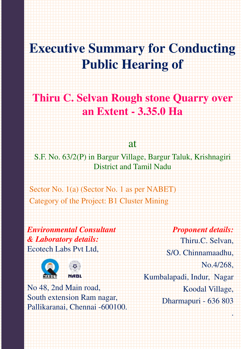# **Executive Summary for Conducting Public Hearing of**

# **Thiru C. Selvan Rough stone Quarry over an Extent - 3.35.0 Ha**

at

S.F. No. 63/2(P) in Bargur Village, Bargur Taluk, Krishnagiri District and Tamil Nadu

Sector No. 1(a) (Sector No. 1 as per NABET) Category of the Project: B1 Cluster Mining

*Environmental Consultant & Laboratory details:* Ecotech Labs Pvt Ltd,





No 48, 2nd Main road, South extension Ram nagar, Pallikaranai, Chennai -600100.

*Proponent details:* Thiru.C. Selvan, S/O. Chinnamaadhu, No.4/268, Kumbalapadi, Indur, Nagar Koodal Village, Dharmapuri - 636 803

.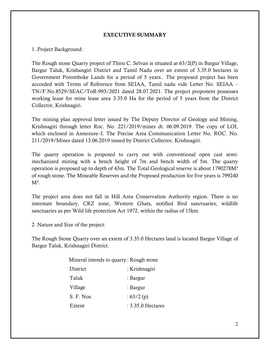#### **EXECUTIVE SUMMARY**

1. Project Background:

The Rough stone Quarry project of Thiru C. Selvan is situated at 63/2(P) in Bargur Village, Bargur Taluk, Krishangiri District and Tamil Nadu over an extent of 3.35.0 hectares in Government Poromboke Lands for a period of 5 years.. The proposed project has been accorded with Terms of Reference from SEIAA, Tamil nadu vide Letter No. SEIAA – TN/F.No.8529/SEAC/ToR-993/2021 dated 28.07.2021. The project proponent possesses working lease for mine lease area 3.35.0 Ha for the period of 5 years from the District Collector, Krishnagiri.

The mining plan approval letter issued by The Deputy Director of Geology and Mining, Krishnagiri through letter Roc. No. 221/2019/mines dt. 06.09.2019. The copy of LOI, which enclosed in Annexure–I. The Precise Area Communication Letter No. ROC. No. 211/2019/Mines dated 13.06.2019 issued by District Collector, Krishnagiri.

The quarry operation is proposed to carry out with conventional open cast semimechanized mining with a bench height of 7m and bench width of 5m. The quarry operation is proposed up to depth of 43m. The Total Geological reserve is about 1790278M<sup>3</sup> of rough stone. The Mineable Reserves and the Proposed production for five years is 799240  $M^3$ .

The project area does not fall in Hill Area Conservation Authority region. There is no interstate boundary, CRZ zone, Western Ghats, notified Bird sanctuaries, wildlife sanctuaries as per Wild life protection Act 1972, within the radius of 15km.

2. Nature and Size of the project:

The Rough Stone Quarry over an extent of 3.35.0 Hectares land is located Bargur Village of Bargur Taluk, Krishnagiri District.

|                 | Mineral intends to quarry: Rough stone |
|-----------------|----------------------------------------|
| <b>District</b> | : Krishnagiri                          |
| Taluk           | : Bargur                               |
| Village         | : Bargur                               |
| S. F. Nos.      | : $63/2(p)$                            |
| Extent          | $: 3.35.0$ Hectares                    |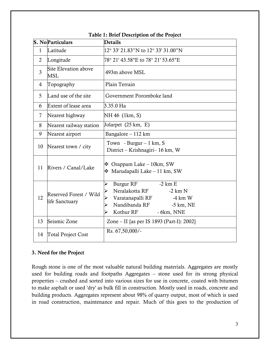|                | <b>S. NoParticulars</b>                  | <b>Details</b>                                                                                                                                                    |  |  |
|----------------|------------------------------------------|-------------------------------------------------------------------------------------------------------------------------------------------------------------------|--|--|
| $\mathbf{1}$   | Latitude                                 | 12° 33' 21.83"N to 12° 33' 31.00"N                                                                                                                                |  |  |
| $\overline{2}$ | Longitude                                | 78° 21' 43.58"E to 78° 21' 53.65"E                                                                                                                                |  |  |
| 3              | Site Elevation above<br>MSL              | 493m above MSL                                                                                                                                                    |  |  |
| 4              | Topography                               | Plain Terrain                                                                                                                                                     |  |  |
| 5              | Land use of the site                     | Government Poromboke land                                                                                                                                         |  |  |
| 6              | Extent of lease area                     | 3.35.0 Ha                                                                                                                                                         |  |  |
| 7              | Nearest highway                          | NH 46 (1km, S)                                                                                                                                                    |  |  |
| 8              | Nearest railway station                  | Jolarpet (25 km, E)                                                                                                                                               |  |  |
| 9              | Nearest airport                          | Bangalore – 112 km                                                                                                                                                |  |  |
| 10             | Nearest town / city                      | Town - Burgur $-1$ km, S<br>District – Krishnagiri– 16 km, W                                                                                                      |  |  |
| 11             | Rivers / Canal/Lake                      | $\div$ Orappam Lake – 10km, SW<br>$\div$ Marudapalli Lake – 11 km, SW                                                                                             |  |  |
| 12             | Reserved Forest / Wild<br>life Sanctuary | Burgur RF<br>$-2$ km E<br>⋗<br>Neralakotta RF<br>$-2 km N$<br>Varatanapalli RF<br>$-4 \text{ km } W$<br>Nandibanda RF<br>$-5$ km, NE<br>Kothur RF<br>$-6km$ , NNE |  |  |
| 13             | Seismic Zone                             | Zone – II [as per IS 1893 (Part-I): 2002]                                                                                                                         |  |  |
| 14             | <b>Total Project Cost</b>                | Rs. 67,50,000/-                                                                                                                                                   |  |  |

#### **Table 1: Brief Description of the Project**

#### **3. Need for the Project**

Rough stone is one of the most valuable natural building materials. Aggregates are mostly used for building roads and footpaths Aggregates – stone used for its strong physical properties – crushed and sorted into various sizes for use in concrete, coated with bitumen to make asphalt or used 'dry' as bulk fill in construction. Mostly used in roads, concrete and building products. Aggregates represent about 98% of quarry output, most of which is used in road construction, maintenance and repair. Much of this goes to the production of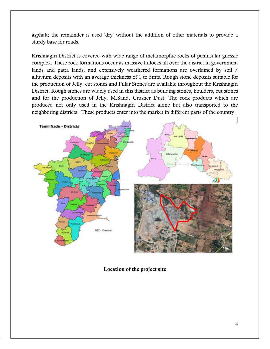asphalt; the remainder is used 'dry' without the addition of other materials to provide a sturdy base for roads.

Krishnagiri District is covered with wide range of metamorphic rocks of peninsular gnessic complex. These rock formations occur as massive hillocks all over the district in government lands and patta lands, and extensively weathered formations are overlained by soil / alluvium deposits with an average thickness of 1 to 5mts. Rough stone deposits suitable for the production of Jelly, cut stones and Pillar Stones are available throughout the Krishnagiri District. Rough stones are widely used in this district as building stones, boulders, cut stones and for the production of Jelly, M.Sand, Crusher Dust. The rock products which are produced not only used in the Krishnagiri District alone but also transported to the neighboring districts. These products enter into the market in different parts of the country.



**Location of the project site**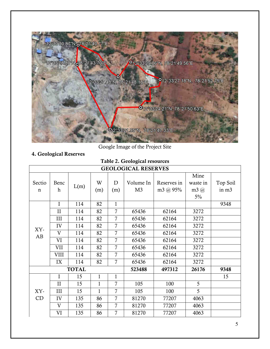

Google Image of the Project Site

# **4. Geological Reserves**

# **Table 2. Geological resources**

| <b>GEOLOGICAL RESERVES</b> |              |              |              |                |                |             |               |          |  |  |
|----------------------------|--------------|--------------|--------------|----------------|----------------|-------------|---------------|----------|--|--|
|                            |              |              |              |                |                |             | Mine          |          |  |  |
| Sectio                     | Benc         | L(m)         | W            | D              | Volume In      | Reserves in | waste in      | Top Soil |  |  |
| $\mathbf n$                | $\mathbf h$  |              | (m)          | (m)            | M <sub>3</sub> | m3 @ $95%$  | $m3$ $\omega$ | in m3    |  |  |
|                            |              |              |              |                |                |             | $5\%$         |          |  |  |
|                            | $\mathbf I$  | 114          | 82           | $\mathbf{1}$   |                |             |               | 9348     |  |  |
|                            | $\mathbf{I}$ | 114          | 82           | $\overline{7}$ | 65436          | 62164       | 3272          |          |  |  |
|                            | III          | 114          | 82           | 7              | 65436          | 62164       | 3272          |          |  |  |
| XY-                        | IV           | 114          | 82           | 7              | 65436          | 62164       | 3272          |          |  |  |
| AB                         | $\rm V$      | 114          | 82           | 7              | 65436          | 62164       | 3272          |          |  |  |
|                            | VI           | 114          | 82           | $\overline{7}$ | 65436          | 62164       | 3272          |          |  |  |
|                            | VII          | 114          | 82           | 7              | 65436          | 62164       | 3272          |          |  |  |
|                            | <b>VIII</b>  | 114          | 82           | 7              | 65436          | 62164       | 3272          |          |  |  |
|                            | IX           | 114          | 82           | 7              | 65436          | 62164       | 3272          |          |  |  |
|                            |              | <b>TOTAL</b> |              |                | 523488         | 497312      | 26176         | 9348     |  |  |
|                            | $\mathbf I$  | 15           | $\mathbf{1}$ | $\mathbf{1}$   |                |             |               | 15       |  |  |
|                            | $\mathbf{I}$ | 15           | $\mathbf{1}$ | 7              | 105            | 100         | 5             |          |  |  |
| XY-                        | III          | 15           | $\mathbf{1}$ | $\overline{7}$ | 105            | 100         | 5             |          |  |  |
| CD                         | IV           | 135          | 86           | $\overline{7}$ | 81270          | 77207       | 4063          |          |  |  |
|                            | $\mathbf{V}$ | 135          | 86           | $\overline{7}$ | 81270          | 77207       | 4063          |          |  |  |
|                            | VI           | 135          | 86           | 7              | 81270          | 77207       | 4063          |          |  |  |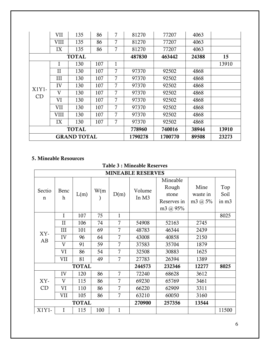|                            | VII         | 135          | 86      | 7       | 81270  | 77207  | 4063  |       |
|----------------------------|-------------|--------------|---------|---------|--------|--------|-------|-------|
|                            | <b>VIII</b> | 135          | 86      | 7       | 81270  | 77207  | 4063  |       |
|                            | IX          | 135          | 86      | 7       | 81270  | 77207  | 4063  |       |
|                            |             | <b>TOTAL</b> |         |         | 487830 | 463442 | 24388 | 15    |
|                            | I           | 130          | 107     | 1       |        |        |       | 13910 |
|                            | $\rm II$    | 130          | 107     | 7       | 97370  | 92502  | 4868  |       |
|                            | Ш           | 130          | 107     | 7       | 97370  | 92502  | 4868  |       |
| $X1Y1-$                    | IV          | 130          | 107     | 7       | 97370  | 92502  | 4868  |       |
| $\mathop{\rm CD}\nolimits$ | V           | 130          | 107     | 7       | 97370  | 92502  | 4868  |       |
|                            | VI          | 130          | 107     | 7       | 97370  | 92502  | 4868  |       |
|                            | VII         | 130          | 107     | 7       | 97370  | 92502  | 4868  |       |
|                            | VIII        | 130          | 107     | 7       | 97370  | 92502  | 4868  |       |
|                            | IX          | 130          | 107     | 7       | 97370  | 92502  | 4868  |       |
| <b>TOTAL</b>               |             |              | 778960  | 740016  | 38944  | 13910  |       |       |
| <b>GRAND TOTAL</b>         |             |              | 1790278 | 1700770 | 89508  | 23273  |       |       |

# **5. Mineable Resources**

| <b>MINEABLE RESERVES</b> |                     |              |      |                |                 |                                                       |                                    |                                  |  |
|--------------------------|---------------------|--------------|------|----------------|-----------------|-------------------------------------------------------|------------------------------------|----------------------------------|--|
| Sectio<br>n              | Benc<br>$\mathbf h$ | L(m)         | W(m) | D(m)           | Volume<br>In M3 | Mineable<br>Rough<br>stone<br>Reserves in<br>m3 @ 95% | Mine<br>waste in<br>m3 $\omega$ 5% | Top<br>Soil<br>in m <sub>3</sub> |  |
|                          | I                   | 107          | 75   | $\mathbf{1}$   |                 |                                                       |                                    | 8025                             |  |
|                          | $\mathbf{I}$        | 106          | 74   | 7              | 54908           | 52163                                                 | 2745                               |                                  |  |
| XY-                      | III                 | 101          | 69   | 7              | 48783           | 46344                                                 | 2439                               |                                  |  |
| AB                       | IV                  | 96           | 64   | 7              | 43008           | 40858                                                 | 2150                               |                                  |  |
|                          | V                   | 91           | 59   | 7              | 37583           | 35704                                                 | 1879                               |                                  |  |
|                          | VI                  | 86           | 54   | 7              | 32508           | 30883                                                 | 1625                               |                                  |  |
|                          | VII                 | 81           | 49   | 7              | 27783           | 26394                                                 | 1389                               |                                  |  |
|                          |                     | <b>TOTAL</b> |      |                | 244573          | 232346                                                | 12277                              | 8025                             |  |
|                          | IV                  | 120          | 86   | 7              | 72240           | 68628                                                 | 3612                               |                                  |  |
| XY-                      | V                   | 115          | 86   | $\overline{7}$ | 69230           | 65769                                                 | 3461                               |                                  |  |
| CD                       | VI                  | 110          | 86   | 7              | 66220           | 62909                                                 | 3311                               |                                  |  |
|                          | VII                 | 105          | 86   | 7              | 63210           | 60050                                                 | 3160                               |                                  |  |
| <b>TOTAL</b>             |                     |              |      |                | 270900          | 257356                                                | 13544                              |                                  |  |
| X1Y1-                    | I                   | 115          | 100  | $\mathbf{1}$   |                 |                                                       |                                    | 11500                            |  |

# **Table 3 : Mineable Reserves**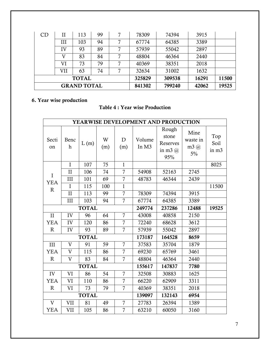| CD                 | Н   | 113 | 99     |        | 78309 | 74394 | 3915 |  |
|--------------------|-----|-----|--------|--------|-------|-------|------|--|
|                    | Ш   | 103 | 94     |        | 67774 | 64385 | 3389 |  |
|                    | IV  | 93  | 89     | 7      | 57939 | 55042 | 2897 |  |
|                    | V   | 83  | 84     |        | 48804 | 46364 | 2440 |  |
|                    | VI  | 73  | 79     |        | 40369 | 38351 | 2018 |  |
|                    | VII | 63  | 74     |        | 32634 | 31002 | 1632 |  |
| <b>TOTAL</b>       |     |     | 325829 | 309538 | 16291 | 11500 |      |  |
| <b>GRAND TOTAL</b> |     |     | 841302 | 799240 | 42062 | 19525 |      |  |

# **6. Year wise production**

|  |  | <b>Table 4: Year wise Production</b> |
|--|--|--------------------------------------|
|--|--|--------------------------------------|

| YEARWISE DEVELOPMENT AND PRODUCTION |                          |              |          |                |                 |                                                  |                               |                      |
|-------------------------------------|--------------------------|--------------|----------|----------------|-----------------|--------------------------------------------------|-------------------------------|----------------------|
| Secti<br>on                         | Benc<br>$\boldsymbol{h}$ | L(m)         | W<br>(m) | D<br>(m)       | Volume<br>In M3 | Rough<br>stone<br>Reserves<br>in m3 $(a)$<br>95% | Mine<br>waste in<br>m3@<br>5% | Top<br>Soil<br>in m3 |
|                                     | $\mathbf I$              | 107          | 75       | $\mathbf{1}$   |                 |                                                  |                               | 8025                 |
| I                                   | II                       | 106          | 74       | $\overline{7}$ | 54908           | 52163                                            | 2745                          |                      |
| <b>YEA</b>                          | III                      | 101          | 69       | $\overline{7}$ | 48783           | 46344                                            | 2439                          |                      |
| $\mathbf R$                         | I                        | 115          | 100      | $\mathbf{1}$   |                 |                                                  |                               | 11500                |
|                                     | $\mathbf{I}$             | 113          | 99       | $\overline{7}$ | 78309           | 74394                                            | 3915                          |                      |
|                                     | III                      | 103          | 94       | $\overline{7}$ | 67774           | 64385                                            | 3389                          |                      |
|                                     |                          | <b>TOTAL</b> |          |                | 249774          | 237286                                           | 12488                         | 19525                |
| $\rm II$                            | IV                       | 96           | 64       | $\overline{7}$ | 43008           | 40858                                            | 2150                          |                      |
| YEA                                 | IV                       | 120          | 86       | $\overline{7}$ | 72240           | 68628                                            | 3612                          |                      |
| $\mathbf R$                         | IV                       | 93           | 89       | $\overline{7}$ | 57939           | 55042                                            | 2897                          |                      |
|                                     |                          | <b>TOTAL</b> |          |                | 173187          | 164528                                           | 8659                          |                      |
| III                                 | $\mathbf{V}$             | 91           | 59       | $\overline{7}$ | 37583           | 35704                                            | 1879                          |                      |
| YEA                                 | $\overline{V}$           | 115          | 86       | $\overline{7}$ | 69230           | 65769                                            | 3461                          |                      |
| $\mathbf R$                         | $\overline{V}$           | 83           | 84       | $\overline{7}$ | 48804           | 46364                                            | 2440                          |                      |
|                                     |                          | <b>TOTAL</b> |          |                | 155617          | 147837                                           | 7780                          |                      |
| IV                                  | VI                       | 86           | 54       | $\overline{7}$ | 32508           | 30883                                            | 1625                          |                      |
| YEA                                 | VI                       | 110          | 86       | 7              | 66220           | 62909                                            | 3311                          |                      |
| $\mathbf R$                         | VI                       | 73           | 79       | $\overline{7}$ | 40369           | 38351                                            | 2018                          |                      |
|                                     |                          | <b>TOTAL</b> |          |                | 139097          | 132143                                           | 6954                          |                      |
| $\mathbf{V}$                        | VII                      | 81           | 49       | $\overline{7}$ | 27783           | 26394                                            | 1389                          |                      |
| YEA                                 | VII                      | 105          | 86       | $\overline{7}$ | 63210           | 60050                                            | 3160                          |                      |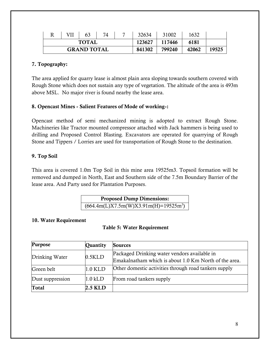|                    |  | 63           |  |  | 32634  | 31002  | 1632  |       |
|--------------------|--|--------------|--|--|--------|--------|-------|-------|
|                    |  | <b>TOTAL</b> |  |  | 123627 | 117446 | 6181  |       |
| <b>GRAND TOTAL</b> |  |              |  |  | 841302 | 799240 | 42062 | 19525 |

#### **7. Topography:**

The area applied for quarry lease is almost plain area sloping towards southern covered with Rough Stone which does not sustain any type of vegetation. The altitude of the area is 493m above MSL. No major river is found nearby the lease area.

#### **8. Opencast Mines - Salient Features of Mode of working-:**

Opencast method of semi mechanized mining is adopted to extract Rough Stone. Machineries like Tractor mounted compressor attached with Jack hammers is being used to drilling and Proposed Control Blasting. Excavators are operated for quarrying of Rough Stone and Tippers / Lorries are used for transportation of Rough Stone to the destination.

#### **9. Top Soil**

This area is covered 1.0m Top Soil in this mine area 19525m3. Topsoil formation will be removed and dumped in North, East and Southern side of the 7.5m Boundary Barrier of the lease area. And Party used for Plantation Purposes.

| <b>Proposed Dump Dimensions:</b>        |  |
|-----------------------------------------|--|
| $(664.4m(L)X7.5m(W)X3.91m(H)=19525m^3)$ |  |

#### **10. Water Requirement**

#### **Table 5: Water Requirement**

| Purpose          | Quantity  | <b>Sources</b>                                                                                        |
|------------------|-----------|-------------------------------------------------------------------------------------------------------|
| Drinking Water   | $0.5$ KLD | Packaged Drinking water vendors available in<br>Emakalnatham which is about 1.0 Km North of the area. |
| Green belt       | $1.0$ KLD | Other domestic activities through road tankers supply                                                 |
| Dust suppression | $1.0$ kLD | From road tankers supply                                                                              |
| Total            | 2.5 KLD   |                                                                                                       |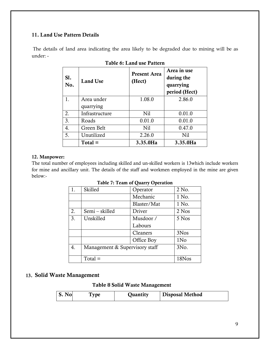#### **11. Land Use Pattern Details**

 The details of land area indicating the area likely to be degraded due to mining will be as under: -

| S1.<br>No. | <b>Land Use</b> | <b>Present Area</b><br>(Hect) | Area in use<br>during the<br>quarrying<br>period (Hect) |
|------------|-----------------|-------------------------------|---------------------------------------------------------|
| 1.         | Area under      | 1.08.0                        | 2.86.0                                                  |
|            | quarrying       |                               |                                                         |
| 2.         | Infrastructure  | N <sub>i</sub> 1              | 0.01.0                                                  |
| 3.         | Roads           | 0.01.0                        | 0.01.0                                                  |
| 4.         | Green Belt      | Nil                           | 0.47.0                                                  |
| 5.         | Unutilized      | 2.26.0                        | N <sub>i</sub>                                          |
|            | $Total =$       | 3.35.0Ha                      | 3.35.0Ha                                                |

| Table 6: Land use Pattern |  |  |  |
|---------------------------|--|--|--|
|---------------------------|--|--|--|

#### **12. Manpower:**

The total number of employees including skilled and un-skilled workers is 13which include workers for mine and ancillary unit. The details of the staff and workmen employed in the mine are given below:-

| 1. | Skilled                        | Operator    | 2 No.           |
|----|--------------------------------|-------------|-----------------|
|    |                                | Mechanic    | 1 No.           |
|    |                                | Blaster/Mat | 1 No.           |
| 2. | Semi - skilled                 | Driver      | 2 Nos           |
| 3. | Unskilled                      | Musdoor /   | 5 Nos           |
|    |                                | Labours     |                 |
|    |                                | Cleaners    | 3Nos            |
|    |                                | Office Boy  | 1N <sub>o</sub> |
| 4. | Management & Supervisory staff |             | 3No.            |
|    |                                |             |                 |
|    | $Total =$                      |             | 18Nos           |

**Table 7: Team of Quarry Operation** 

#### **13. Solid Waste Management**

#### **Table 8 Solid Waste Management**

| $\bf No$ |  | Quantity | <b>Disposal Method</b> |  |
|----------|--|----------|------------------------|--|
|----------|--|----------|------------------------|--|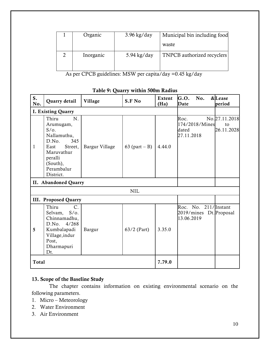| Organic   | $3.96$ kg/day | Municipal bin including food |
|-----------|---------------|------------------------------|
|           |               | waste                        |
| Inorganic | $5.94$ kg/day | TNPCB authorized recyclers   |

As per CPCB guidelines: MSW per capita/day =0.45 kg/day

| S.<br>No.    | Quarry detail                                                                                                                                         | Village        | S.F No           | Extent<br>(Ha) | G.O.<br>No.<br>Date                                           | &Lease<br>period                  |
|--------------|-------------------------------------------------------------------------------------------------------------------------------------------------------|----------------|------------------|----------------|---------------------------------------------------------------|-----------------------------------|
|              | I. Existing Quarry                                                                                                                                    |                |                  |                |                                                               |                                   |
| $\mathbf{1}$ | Thiru<br>N.<br>Arumugam,<br>$S/O$ .<br>Nallamuthu,<br>345<br>D.No.<br>East<br>Street,<br>Maruvathur<br>peralli<br>(South),<br>Perambalur<br>District. | Bargur Village | 63 (part $- B$ ) | 4.44.0         | Roc.<br>174/2018/Mines<br>dated<br>27.11.2018                 | No.27.11.2018<br>to<br>26.11.2028 |
|              | II. Abandoned Quarry                                                                                                                                  |                |                  |                |                                                               |                                   |
|              |                                                                                                                                                       |                | <b>NIL</b>       |                |                                                               |                                   |
|              | III. Proposed Quarry                                                                                                                                  |                |                  |                |                                                               |                                   |
| 5            | Thiru<br>$C$ .<br>Selvam, S/o.<br>Chinnamadhu,<br>4/268<br>D.No.<br>Kumbalapadi<br>Village, indur<br>Post,<br>Dharmapuri<br>Dt.                       | Bargur         | $63/2$ (Part)    | 3.35.0         | Roc. No. 211/Instant<br>2019/mines Dt. Proposal<br>13.06.2019 |                                   |
| <b>Total</b> |                                                                                                                                                       |                |                  | 7.79.0         |                                                               |                                   |

### **Table 9: Quarry within 500m Radius**

# **13. Scope of the Baseline Study**

 The chapter contains information on existing environmental scenario on the following parameters.

- 1. Micro Meteorology
- 2. Water Environment
- 3. Air Environment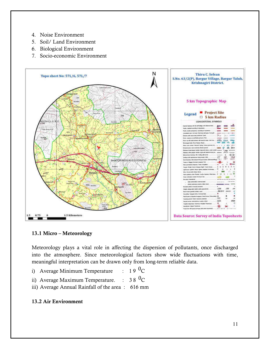- 4. Noise Environment
- 5. Soil/ Land Environment
- 6. Biological Environment
- 7. Socio-economic Environment



#### **13.1 Micro – Meteorology**

Meteorology plays a vital role in affecting the dispersion of pollutants, once discharged into the atmosphere. Since meteorological factors show wide fluctuations with time, meaningful interpretation can be drawn only from long-term reliable data.

- i) Average Minimum Temperature :  $19\text{ }^0\text{C}$
- ii) Average Maximum Temperature. :  $38\text{ }^0\text{C}$
- iii) Average Annual Rainfall of the area : 616 mm

#### **13.2 Air Environment**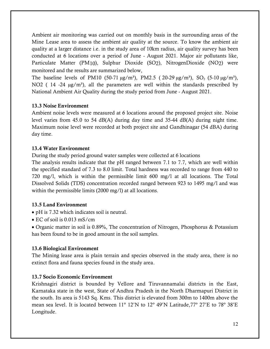Ambient air monitoring was carried out on monthly basis in the surrounding areas of the Mine Lease area to assess the ambient air quality at the source. To know the ambient air quality at a larger distance i.e. in the study area of 10km radius, air quality survey has been conducted at 6 locations over a period of June - August 2021. Major air pollutants like, Particulate Matter (PM10), Sulphur Dioxide (SO2), NitrogenDioxide (NO2) were monitored and the results are summarized below,

The baseline levels of PM10 (50-71  $\mu$ g/m<sup>3</sup>), PM2.5 (20-29  $\mu$ g/m<sup>3</sup>), SO<sub>2</sub> (5-10  $\mu$ g/m<sup>3</sup>), NO2 ( $14 - 24 \mu g/m<sup>3</sup>$ ), all the parameters are well within the standards prescribed by National Ambient Air Quality during the study period from June - August 2021.

#### **13.3 Noise Environment**

Ambient noise levels were measured at 6 locations around the proposed project site. Noise level varies from 45.0 to 54 dB(A) during day time and 35-44 dB(A) during night time. Maximum noise level were recorded at both project site and Gandhinagar (54 dBA) during day time.

#### **13.4 Water Environment**

During the study period ground water samples were collected at 6 locations

The analysis results indicate that the pH ranged between 7.1 to 7.7, which are well within the specified standard of 7.3 to 8.0 limit. Total hardness was recorded to range from 440 to 720 mg/l, which is within the permissible limit 600 mg/l at all locations. The Total Dissolved Solids (TDS) concentration recorded ranged between 923 to 1495 mg/l and was within the permissible limits (2000 mg/l) at all locations.

#### **13.5 Land Environment**

- pH is 7.32 which indicates soil is neutral.
- EC of soil is 0.013 mS/cm

• Organic matter in soil is 0.89%, The concentration of Nitrogen, Phosphorus & Potassium has been found to be in good amount in the soil samples.

#### **13.6 Biological Environment**

The Mining lease area is plain terrain and species observed in the study area, there is no extinct flora and fauna species found in the study area.

#### **13.7 Socio Economic Environment**

Krishnagiri district is bounded by Vellore and Tiruvannamalai districts in the East, Karnataka state in the west, State of Andhra Pradesh in the North Dharmapuri District in the south. Its area is 5143 Sq. Kms. This district is elevated from 300m to 1400m above the mean sea level. It is located between 11º 12'N to 12º 49'N Latitude,77º 27'E to 78º 38'E Longitude.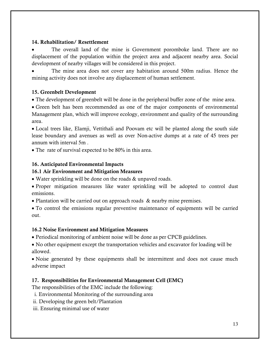#### **14. Rehabilitation/ Resettlement**

 The overall land of the mine is Government poromboke land. There are no displacement of the population within the project area and adjacent nearby area. Social development of nearby villages will be considered in this project.

 The mine area does not cover any habitation around 500m radius. Hence the mining activity does not involve any displacement of human settlement.

## **15. Greenbelt Development**

The development of greenbelt will be done in the peripheral buffer zone of the mine area.

 Green belt has been recommended as one of the major components of environmental Management plan, which will improve ecology, environment and quality of the surrounding area.

 Local trees like, Elamji, Vettithali and Poovam etc will be planted along the south side lease boundary and avenues as well as over Non-active dumps at a rate of 45 trees per annum with interval 5m .

• The rate of survival expected to be 80% in this area.

## **16. Anticipated Environmental Impacts**

## **16.1 Air Environment and Mitigation Measures**

Water sprinkling will be done on the roads & unpaved roads.

 Proper mitigation measures like water sprinkling will be adopted to control dust emissions.

• Plantation will be carried out on approach roads & nearby mine premises.

 To control the emissions regular preventive maintenance of equipments will be carried out.

#### **16.2 Noise Environment and Mitigation Measures**

Periodical monitoring of ambient noise will be done as per CPCB guidelines.

 No other equipment except the transportation vehicles and excavator for loading will be allowed.

• Noise generated by these equipments shall be intermittent and does not cause much adverse impact

# **17. Responsibilities for Environmental Management Cell (EMC)**

The responsibilities of the EMC include the following:

- i. Environmental Monitoring of the surrounding area
- ii. Developing the green belt/Plantation
- iii. Ensuring minimal use of water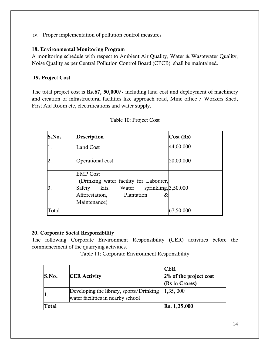iv. Proper implementation of pollution control measures

### **18. Environmental Monitoring Program**

A monitoring schedule with respect to Ambient Air Quality, Water & Wastewater Quality, Noise Quality as per Central Pollution Control Board (CPCB), shall be maintained.

# **19. Project Cost**

The total project cost is **Rs.67, 50,000/-** including land cost and deployment of machinery and creation of infrastructural facilities like approach road, Mine office / Workers Shed, First Aid Room etc, electrifications and water supply.

| S.No.            | Description                                                                                                                                                   | Cost (Rs) |
|------------------|---------------------------------------------------------------------------------------------------------------------------------------------------------------|-----------|
| 1.               | <b>Land Cost</b>                                                                                                                                              | 44,00,000 |
| $\overline{2}$ . | Operational cost                                                                                                                                              | 20,00,000 |
| 3.               | <b>EMP</b> Cost<br>(Drinking water facility for Labourer,<br>kits, Water sprinkling, 3,50,000<br>Safety<br>Afforestation,<br>Plantation<br>&.<br>Maintenance) |           |
| Total            |                                                                                                                                                               | 67,50,000 |

Table 10: Project Cost

# **20. Corporate Social Responsibility**

The following Corporate Environment Responsibility (CER) activities before the commencement of the quarrying activities.

Table 11: Corporate Environment Responsibility

| S.No. | <b>CER Activity</b>                                                          | <b>CER</b><br>$2\%$ of the project cost<br>(Rs in Crores) |
|-------|------------------------------------------------------------------------------|-----------------------------------------------------------|
|       | Developing the library, sports/Drinking<br>water facilities in nearby school | 1,35,000                                                  |
| Total |                                                                              | $\text{Rs. } 1,35,000$                                    |